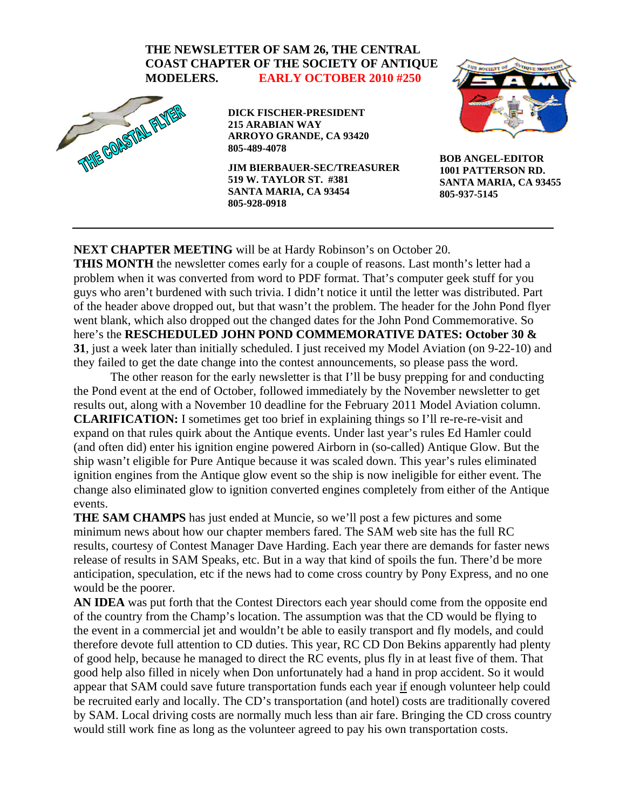## **THE NEWSLETTER OF SAM 26, THE CENTRAL COAST CHAPTER OF THE SOCIETY OF ANTIQUE MODELERS. EARLY OCTOBER 2010 #250**



**DICK FISCHER-PRESIDENT 215 ARABIAN WAY ARROYO GRANDE, CA 93420 805-489-4078** 

**JIM BIERBAUER-SEC/TREASURER 519 W. TAYLOR ST. #381 SANTA MARIA, CA 93454 805-928-0918** 



**BOB ANGEL-EDITOR 1001 PATTERSON RD. SANTA MARIA, CA 93455 805-937-5145** 

## **NEXT CHAPTER MEETING** will be at Hardy Robinson's on October 20.

**THIS MONTH** the newsletter comes early for a couple of reasons. Last month's letter had a problem when it was converted from word to PDF format. That's computer geek stuff for you guys who aren't burdened with such trivia. I didn't notice it until the letter was distributed. Part of the header above dropped out, but that wasn't the problem. The header for the John Pond flyer went blank, which also dropped out the changed dates for the John Pond Commemorative. So here's the **RESCHEDULED JOHN POND COMMEMORATIVE DATES: October 30 & 31**, just a week later than initially scheduled. I just received my Model Aviation (on 9-22-10) and they failed to get the date change into the contest announcements, so please pass the word.

 The other reason for the early newsletter is that I'll be busy prepping for and conducting the Pond event at the end of October, followed immediately by the November newsletter to get results out, along with a November 10 deadline for the February 2011 Model Aviation column. **CLARIFICATION:** I sometimes get too brief in explaining things so I'll re-re-re-visit and expand on that rules quirk about the Antique events. Under last year's rules Ed Hamler could (and often did) enter his ignition engine powered Airborn in (so-called) Antique Glow. But the ship wasn't eligible for Pure Antique because it was scaled down. This year's rules eliminated ignition engines from the Antique glow event so the ship is now ineligible for either event. The change also eliminated glow to ignition converted engines completely from either of the Antique events.

**THE SAM CHAMPS** has just ended at Muncie, so we'll post a few pictures and some minimum news about how our chapter members fared. The SAM web site has the full RC results, courtesy of Contest Manager Dave Harding. Each year there are demands for faster news release of results in SAM Speaks, etc. But in a way that kind of spoils the fun. There'd be more anticipation, speculation, etc if the news had to come cross country by Pony Express, and no one would be the poorer.

**AN IDEA** was put forth that the Contest Directors each year should come from the opposite end of the country from the Champ's location. The assumption was that the CD would be flying to the event in a commercial jet and wouldn't be able to easily transport and fly models, and could therefore devote full attention to CD duties. This year, RC CD Don Bekins apparently had plenty of good help, because he managed to direct the RC events, plus fly in at least five of them. That good help also filled in nicely when Don unfortunately had a hand in prop accident. So it would appear that SAM could save future transportation funds each year if enough volunteer help could be recruited early and locally. The CD's transportation (and hotel) costs are traditionally covered by SAM. Local driving costs are normally much less than air fare. Bringing the CD cross country would still work fine as long as the volunteer agreed to pay his own transportation costs.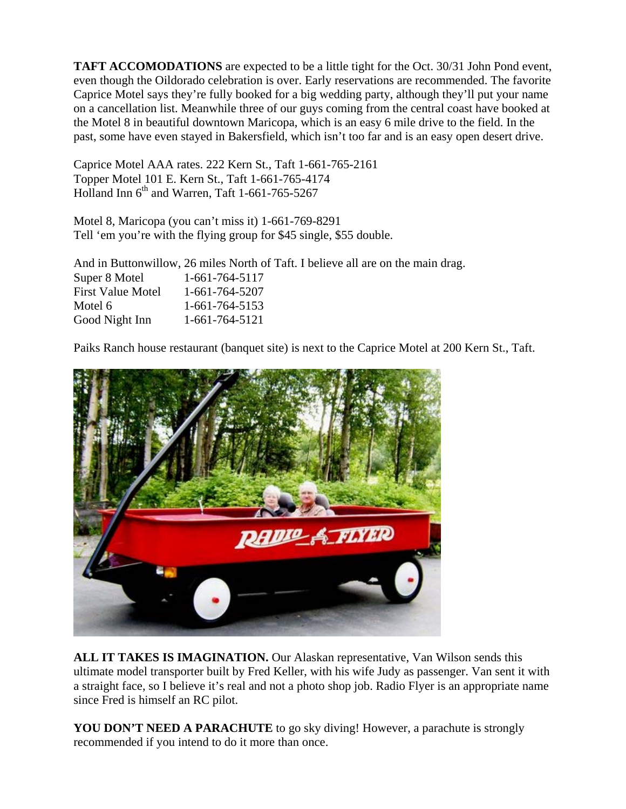**TAFT ACCOMODATIONS** are expected to be a little tight for the Oct. 30/31 John Pond event, even though the Oildorado celebration is over. Early reservations are recommended. The favorite Caprice Motel says they're fully booked for a big wedding party, although they'll put your name on a cancellation list. Meanwhile three of our guys coming from the central coast have booked at the Motel 8 in beautiful downtown Maricopa, which is an easy 6 mile drive to the field. In the past, some have even stayed in Bakersfield, which isn't too far and is an easy open desert drive.

Caprice Motel AAA rates. 222 Kern St., Taft 1-661-765-2161 Topper Motel 101 E. Kern St., Taft 1-661-765-4174 Holland Inn  $6^{th}$  and Warren, Taft 1-661-765-5267

Motel 8, Maricopa (you can't miss it) 1-661-769-8291 Tell 'em you're with the flying group for \$45 single, \$55 double.

And in Buttonwillow, 26 miles North of Taft. I believe all are on the main drag. Super 8 Motel 1-661-764-5117 First Value Motel 1-661-764-5207 Motel 6 1-661-764-5153 Good Night Inn 1-661-764-5121

Paiks Ranch house restaurant (banquet site) is next to the Caprice Motel at 200 Kern St., Taft.



**ALL IT TAKES IS IMAGINATION.** Our Alaskan representative, Van Wilson sends this ultimate model transporter built by Fred Keller, with his wife Judy as passenger. Van sent it with a straight face, so I believe it's real and not a photo shop job. Radio Flyer is an appropriate name since Fred is himself an RC pilot.

**YOU DON'T NEED A PARACHUTE** to go sky diving! However, a parachute is strongly recommended if you intend to do it more than once.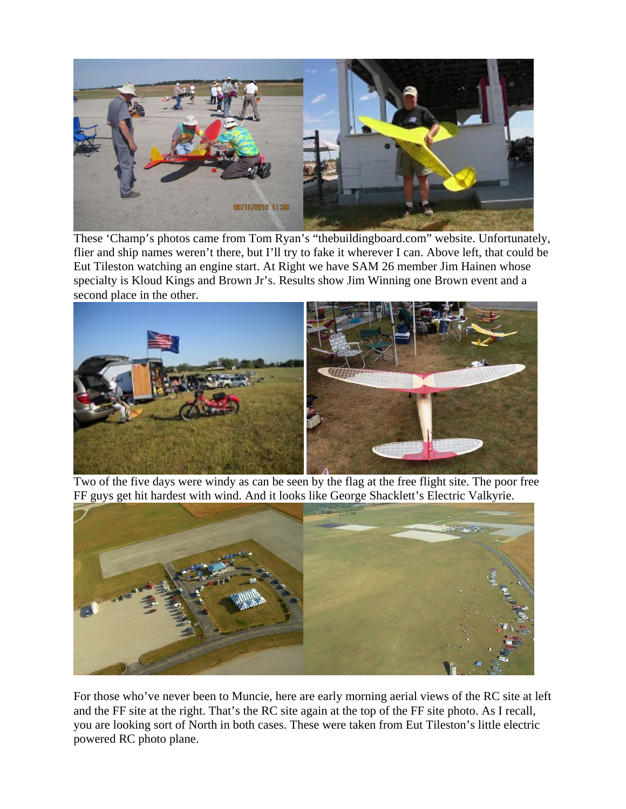

These 'Champ's photos came from Tom Ryan's "thebuildingboard.com" website. Unfortunately, flier and ship names weren't there, but I'll try to fake it wherever I can. Above left, that could be Eut Tileston watching an engine start. At Right we have SAM 26 member Jim Hainen whose specialty is Kloud Kings and Brown Jr's. Results show Jim Winning one Brown event and a second place in the other.



Two of the five days were windy as can be seen by the flag at the free flight site. The poor free FF guys get hit hardest with wind. And it looks like George Shacklett's Electric Valkyrie.



For those who've never been to Muncie, here are early morning aerial views of the RC site at left and the FF site at the right. That's the RC site again at the top of the FF site photo. As I recall, you are looking sort of North in both cases. These were taken from Eut Tileston's little electric powered RC photo plane.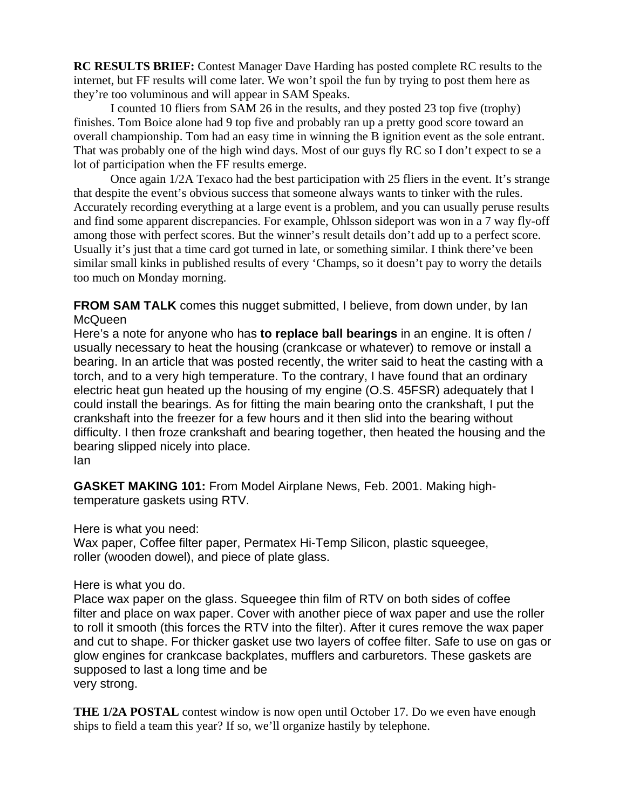**RC RESULTS BRIEF:** Contest Manager Dave Harding has posted complete RC results to the internet, but FF results will come later. We won't spoil the fun by trying to post them here as they're too voluminous and will appear in SAM Speaks.

I counted 10 fliers from SAM 26 in the results, and they posted 23 top five (trophy) finishes. Tom Boice alone had 9 top five and probably ran up a pretty good score toward an overall championship. Tom had an easy time in winning the B ignition event as the sole entrant. That was probably one of the high wind days. Most of our guys fly RC so I don't expect to se a lot of participation when the FF results emerge.

Once again 1/2A Texaco had the best participation with 25 fliers in the event. It's strange that despite the event's obvious success that someone always wants to tinker with the rules. Accurately recording everything at a large event is a problem, and you can usually peruse results and find some apparent discrepancies. For example, Ohlsson sideport was won in a 7 way fly-off among those with perfect scores. But the winner's result details don't add up to a perfect score. Usually it's just that a time card got turned in late, or something similar. I think there've been similar small kinks in published results of every 'Champs, so it doesn't pay to worry the details too much on Monday morning.

**FROM SAM TALK** comes this nugget submitted, I believe, from down under, by Ian **McQueen** 

Here's a note for anyone who has **to replace ball bearings** in an engine. It is often / usually necessary to heat the housing (crankcase or whatever) to remove or install a bearing. In an article that was posted recently, the writer said to heat the casting with a torch, and to a very high temperature. To the contrary, I have found that an ordinary electric heat gun heated up the housing of my engine (O.S. 45FSR) adequately that I could install the bearings. As for fitting the main bearing onto the crankshaft, I put the crankshaft into the freezer for a few hours and it then slid into the bearing without difficulty. I then froze crankshaft and bearing together, then heated the housing and the bearing slipped nicely into place. Ian

**GASKET MAKING 101:** From Model Airplane News, Feb. 2001. Making hightemperature gaskets using RTV.

Here is what you need:

Wax paper, Coffee filter paper, Permatex Hi-Temp Silicon, plastic squeegee, roller (wooden dowel), and piece of plate glass.

Here is what you do.

Place wax paper on the glass. Squeegee thin film of RTV on both sides of coffee filter and place on wax paper. Cover with another piece of wax paper and use the roller to roll it smooth (this forces the RTV into the filter). After it cures remove the wax paper and cut to shape. For thicker gasket use two layers of coffee filter. Safe to use on gas or glow engines for crankcase backplates, mufflers and carburetors. These gaskets are supposed to last a long time and be very strong.

**THE 1/2A POSTAL** contest window is now open until October 17. Do we even have enough ships to field a team this year? If so, we'll organize hastily by telephone.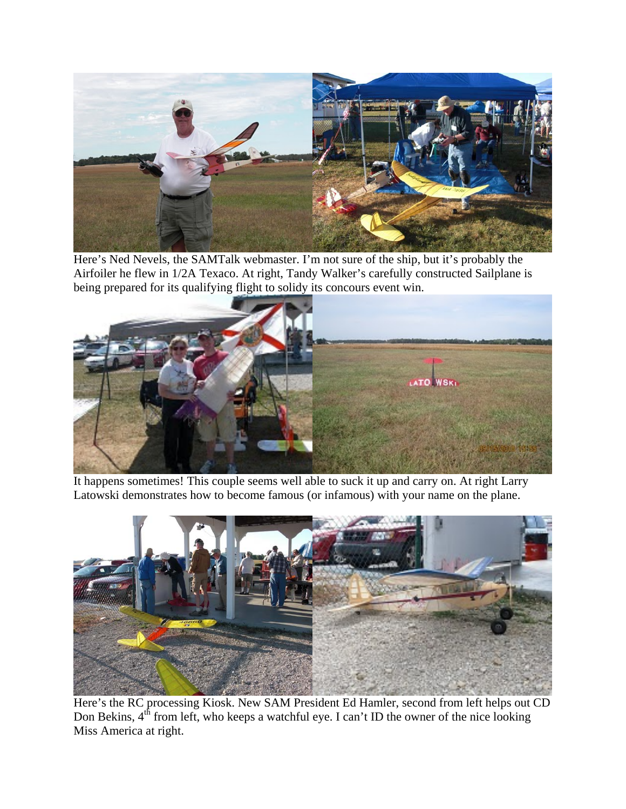

Here's Ned Nevels, the SAMTalk webmaster. I'm not sure of the ship, but it's probably the Airfoiler he flew in 1/2A Texaco. At right, Tandy Walker's carefully constructed Sailplane is being prepared for its qualifying flight to solidy its concours event win.



It happens sometimes! This couple seems well able to suck it up and carry on. At right Larry Latowski demonstrates how to become famous (or infamous) with your name on the plane.



Here's the RC processing Kiosk. New SAM President Ed Hamler, second from left helps out CD Don Bekins,  $4<sup>th</sup>$  from left, who keeps a watchful eye. I can't ID the owner of the nice looking Miss America at right.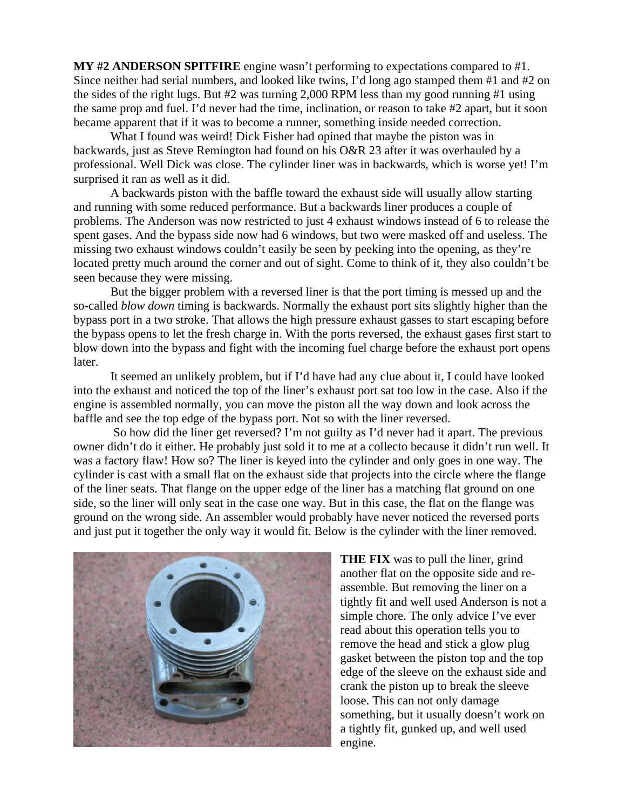**MY #2 ANDERSON SPITFIRE** engine wasn't performing to expectations compared to #1. Since neither had serial numbers, and looked like twins, I'd long ago stamped them #1 and #2 on the sides of the right lugs. But #2 was turning 2,000 RPM less than my good running #1 using the same prop and fuel. I'd never had the time, inclination, or reason to take #2 apart, but it soon became apparent that if it was to become a runner, something inside needed correction.

 What I found was weird! Dick Fisher had opined that maybe the piston was in backwards, just as Steve Remington had found on his O&R 23 after it was overhauled by a professional. Well Dick was close. The cylinder liner was in backwards, which is worse yet! I'm surprised it ran as well as it did.

 A backwards piston with the baffle toward the exhaust side will usually allow starting and running with some reduced performance. But a backwards liner produces a couple of problems. The Anderson was now restricted to just 4 exhaust windows instead of 6 to release the spent gases. And the bypass side now had 6 windows, but two were masked off and useless. The missing two exhaust windows couldn't easily be seen by peeking into the opening, as they're located pretty much around the corner and out of sight. Come to think of it, they also couldn't be seen because they were missing.

 But the bigger problem with a reversed liner is that the port timing is messed up and the so-called *blow down* timing is backwards. Normally the exhaust port sits slightly higher than the bypass port in a two stroke. That allows the high pressure exhaust gasses to start escaping before the bypass opens to let the fresh charge in. With the ports reversed, the exhaust gases first start to blow down into the bypass and fight with the incoming fuel charge before the exhaust port opens later.

 It seemed an unlikely problem, but if I'd have had any clue about it, I could have looked into the exhaust and noticed the top of the liner's exhaust port sat too low in the case. Also if the engine is assembled normally, you can move the piston all the way down and look across the baffle and see the top edge of the bypass port. Not so with the liner reversed.

 So how did the liner get reversed? I'm not guilty as I'd never had it apart. The previous owner didn't do it either. He probably just sold it to me at a collecto because it didn't run well. It was a factory flaw! How so? The liner is keyed into the cylinder and only goes in one way. The cylinder is cast with a small flat on the exhaust side that projects into the circle where the flange of the liner seats. That flange on the upper edge of the liner has a matching flat ground on one side, so the liner will only seat in the case one way. But in this case, the flat on the flange was ground on the wrong side. An assembler would probably have never noticed the reversed ports and just put it together the only way it would fit. Below is the cylinder with the liner removed.



**THE FIX** was to pull the liner, grind another flat on the opposite side and reassemble. But removing the liner on a tightly fit and well used Anderson is not a simple chore. The only advice I've ever read about this operation tells you to remove the head and stick a glow plug gasket between the piston top and the top edge of the sleeve on the exhaust side and crank the piston up to break the sleeve loose. This can not only damage something, but it usually doesn't work on a tightly fit, gunked up, and well used engine.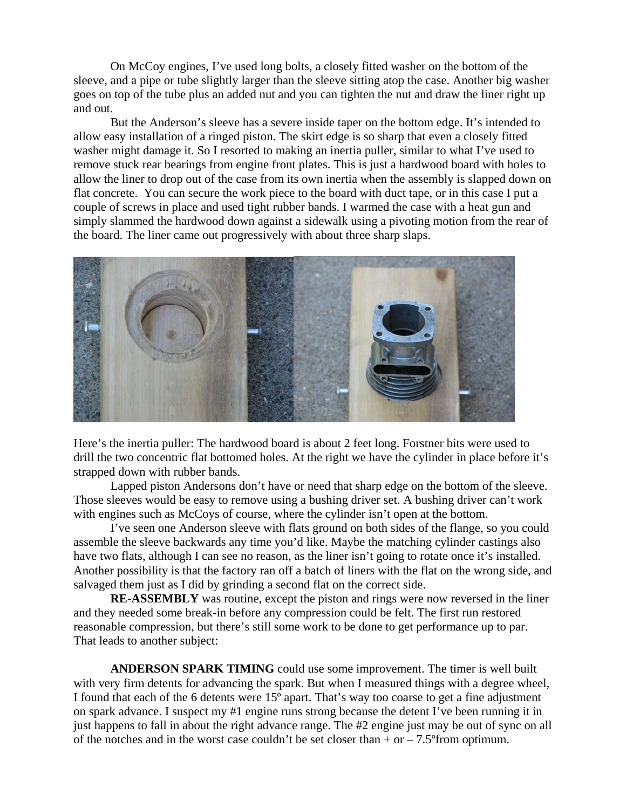On McCoy engines, I've used long bolts, a closely fitted washer on the bottom of the sleeve, and a pipe or tube slightly larger than the sleeve sitting atop the case. Another big washer goes on top of the tube plus an added nut and you can tighten the nut and draw the liner right up and out.

 But the Anderson's sleeve has a severe inside taper on the bottom edge. It's intended to allow easy installation of a ringed piston. The skirt edge is so sharp that even a closely fitted washer might damage it. So I resorted to making an inertia puller, similar to what I've used to remove stuck rear bearings from engine front plates. This is just a hardwood board with holes to allow the liner to drop out of the case from its own inertia when the assembly is slapped down on flat concrete. You can secure the work piece to the board with duct tape, or in this case I put a couple of screws in place and used tight rubber bands. I warmed the case with a heat gun and simply slammed the hardwood down against a sidewalk using a pivoting motion from the rear of the board. The liner came out progressively with about three sharp slaps.



Here's the inertia puller: The hardwood board is about 2 feet long. Forstner bits were used to drill the two concentric flat bottomed holes. At the right we have the cylinder in place before it's strapped down with rubber bands.

Lapped piston Andersons don't have or need that sharp edge on the bottom of the sleeve. Those sleeves would be easy to remove using a bushing driver set. A bushing driver can't work with engines such as McCoys of course, where the cylinder isn't open at the bottom.

I've seen one Anderson sleeve with flats ground on both sides of the flange, so you could assemble the sleeve backwards any time you'd like. Maybe the matching cylinder castings also have two flats, although I can see no reason, as the liner isn't going to rotate once it's installed. Another possibility is that the factory ran off a batch of liners with the flat on the wrong side, and salvaged them just as I did by grinding a second flat on the correct side.

**RE-ASSEMBLY** was routine, except the piston and rings were now reversed in the liner and they needed some break-in before any compression could be felt. The first run restored reasonable compression, but there's still some work to be done to get performance up to par. That leads to another subject:

**ANDERSON SPARK TIMING** could use some improvement. The timer is well built with very firm detents for advancing the spark. But when I measured things with a degree wheel, I found that each of the 6 detents were 15º apart. That's way too coarse to get a fine adjustment on spark advance. I suspect my #1 engine runs strong because the detent I've been running it in just happens to fall in about the right advance range. The #2 engine just may be out of sync on all of the notches and in the worst case couldn't be set closer than  $+$  or  $-7.5^{\circ}$  from optimum.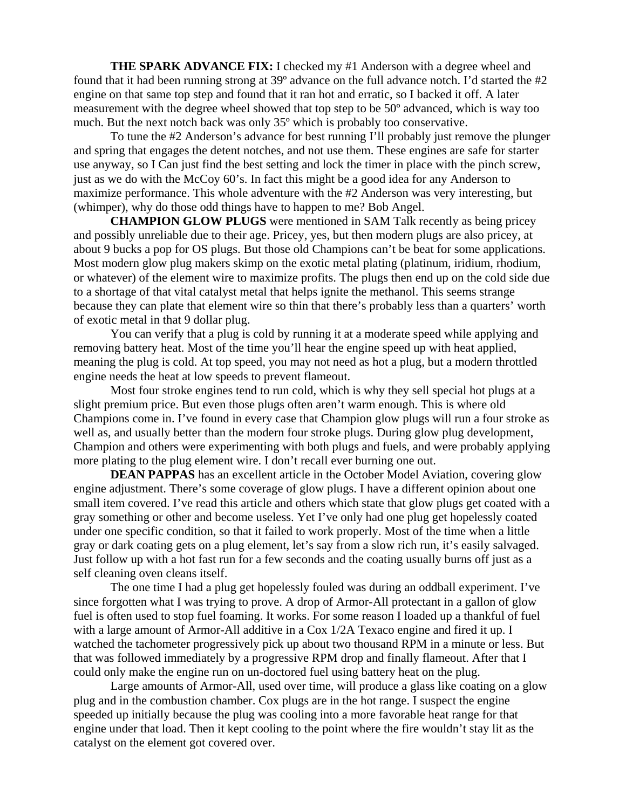**THE SPARK ADVANCE FIX:** I checked my #1 Anderson with a degree wheel and found that it had been running strong at 39º advance on the full advance notch. I'd started the #2 engine on that same top step and found that it ran hot and erratic, so I backed it off. A later measurement with the degree wheel showed that top step to be 50º advanced, which is way too much. But the next notch back was only 35º which is probably too conservative.

To tune the #2 Anderson's advance for best running I'll probably just remove the plunger and spring that engages the detent notches, and not use them. These engines are safe for starter use anyway, so I Can just find the best setting and lock the timer in place with the pinch screw, just as we do with the McCoy 60's. In fact this might be a good idea for any Anderson to maximize performance. This whole adventure with the #2 Anderson was very interesting, but (whimper), why do those odd things have to happen to me? Bob Angel.

**CHAMPION GLOW PLUGS** were mentioned in SAM Talk recently as being pricey and possibly unreliable due to their age. Pricey, yes, but then modern plugs are also pricey, at about 9 bucks a pop for OS plugs. But those old Champions can't be beat for some applications. Most modern glow plug makers skimp on the exotic metal plating (platinum, iridium, rhodium, or whatever) of the element wire to maximize profits. The plugs then end up on the cold side due to a shortage of that vital catalyst metal that helps ignite the methanol. This seems strange because they can plate that element wire so thin that there's probably less than a quarters' worth of exotic metal in that 9 dollar plug.

You can verify that a plug is cold by running it at a moderate speed while applying and removing battery heat. Most of the time you'll hear the engine speed up with heat applied, meaning the plug is cold. At top speed, you may not need as hot a plug, but a modern throttled engine needs the heat at low speeds to prevent flameout.

Most four stroke engines tend to run cold, which is why they sell special hot plugs at a slight premium price. But even those plugs often aren't warm enough. This is where old Champions come in. I've found in every case that Champion glow plugs will run a four stroke as well as, and usually better than the modern four stroke plugs. During glow plug development, Champion and others were experimenting with both plugs and fuels, and were probably applying more plating to the plug element wire. I don't recall ever burning one out.

**DEAN PAPPAS** has an excellent article in the October Model Aviation, covering glow engine adjustment. There's some coverage of glow plugs. I have a different opinion about one small item covered. I've read this article and others which state that glow plugs get coated with a gray something or other and become useless. Yet I've only had one plug get hopelessly coated under one specific condition, so that it failed to work properly. Most of the time when a little gray or dark coating gets on a plug element, let's say from a slow rich run, it's easily salvaged. Just follow up with a hot fast run for a few seconds and the coating usually burns off just as a self cleaning oven cleans itself.

The one time I had a plug get hopelessly fouled was during an oddball experiment. I've since forgotten what I was trying to prove. A drop of Armor-All protectant in a gallon of glow fuel is often used to stop fuel foaming. It works. For some reason I loaded up a thankful of fuel with a large amount of Armor-All additive in a Cox 1/2A Texaco engine and fired it up. I watched the tachometer progressively pick up about two thousand RPM in a minute or less. But that was followed immediately by a progressive RPM drop and finally flameout. After that I could only make the engine run on un-doctored fuel using battery heat on the plug.

Large amounts of Armor-All, used over time, will produce a glass like coating on a glow plug and in the combustion chamber. Cox plugs are in the hot range. I suspect the engine speeded up initially because the plug was cooling into a more favorable heat range for that engine under that load. Then it kept cooling to the point where the fire wouldn't stay lit as the catalyst on the element got covered over.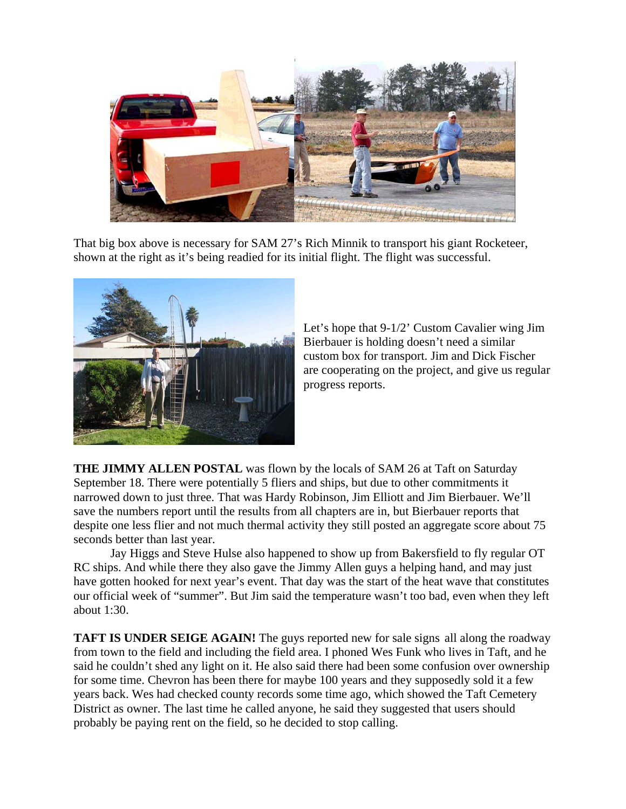

That big box above is necessary for SAM 27's Rich Minnik to transport his giant Rocketeer, shown at the right as it's being readied for its initial flight. The flight was successful.



Let's hope that 9-1/2' Custom Cavalier wing Jim Bierbauer is holding doesn't need a similar custom box for transport. Jim and Dick Fischer are cooperating on the project, and give us regular progress reports.

**THE JIMMY ALLEN POSTAL** was flown by the locals of SAM 26 at Taft on Saturday September 18. There were potentially 5 fliers and ships, but due to other commitments it narrowed down to just three. That was Hardy Robinson, Jim Elliott and Jim Bierbauer. We'll save the numbers report until the results from all chapters are in, but Bierbauer reports that despite one less flier and not much thermal activity they still posted an aggregate score about 75 seconds better than last year.

 Jay Higgs and Steve Hulse also happened to show up from Bakersfield to fly regular OT RC ships. And while there they also gave the Jimmy Allen guys a helping hand, and may just have gotten hooked for next year's event. That day was the start of the heat wave that constitutes our official week of "summer". But Jim said the temperature wasn't too bad, even when they left about 1:30.

**TAFT IS UNDER SEIGE AGAIN!** The guys reported new for sale signs all along the roadway from town to the field and including the field area. I phoned Wes Funk who lives in Taft, and he said he couldn't shed any light on it. He also said there had been some confusion over ownership for some time. Chevron has been there for maybe 100 years and they supposedly sold it a few years back. Wes had checked county records some time ago, which showed the Taft Cemetery District as owner. The last time he called anyone, he said they suggested that users should probably be paying rent on the field, so he decided to stop calling.